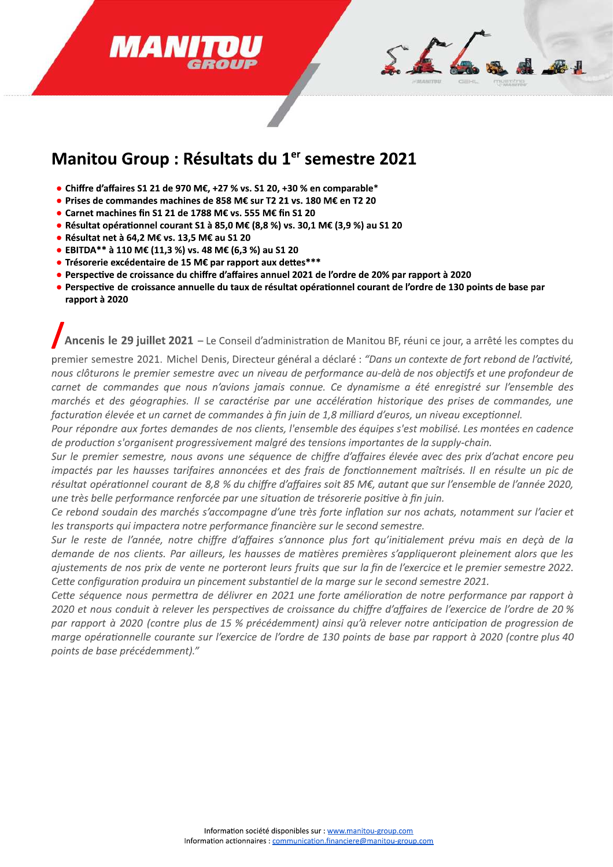

## Manitou Group : Résultats du 1<sup>er</sup> semestre 2021

- Chiffre d'affaires S1 21 de 970 M€, +27 % vs. S1 20, +30 % en comparable\*
- · Prises de commandes machines de 858 M€ sur T2 21 vs. 180 M€ en T2 20
- Carnet machines fin S1 21 de 1788 M€ vs. 555 M€ fin S1 20
- Résultat opérationnel courant S1 à 85,0 M€ (8,8 %) vs. 30,1 M€ (3,9 %) au S1 20
- · Résultat net à 64,2 M€ vs. 13,5 M€ au S1 20
- EBITDA\*\* à 110 M€ (11,3 %) vs. 48 M€ (6,3 %) au S1 20
- Trésorerie excédentaire de 15 M€ par rapport aux dettes\*\*\*
- Perspective de croissance du chiffre d'affaires annuel 2021 de l'ordre de 20% par rapport à 2020
- · Perspective de croissance annuelle du taux de résultat opérationnel courant de l'ordre de 130 points de base par rapport à 2020

Ancenis le 29 juillet 2021 - Le Conseil d'administration de Manitou BF, réuni ce jour, a arrêté les comptes du

premier semestre 2021. Michel Denis, Directeur général a déclaré : "Dans un contexte de fort rebond de l'activité, nous clôturons le premier semestre avec un niveau de performance au-delà de nos objectifs et une profondeur de carnet de commandes que nous n'avions jamais connue. Ce dynamisme a été enregistré sur l'ensemble des marchés et des géographies. Il se caractérise par une accélération historique des prises de commandes, une facturation élevée et un carnet de commandes à fin juin de 1,8 milliard d'euros, un niveau exceptionnel.

Pour répondre aux fortes demandes de nos clients, l'ensemble des équipes s'est mobilisé. Les montées en cadence de production s'organisent progressivement malgré des tensions importantes de la supply-chain.

Sur le premier semestre, nous avons une séquence de chiffre d'affaires élevée avec des prix d'achat encore peu impactés par les hausses tarifaires annoncées et des frais de fonctionnement maîtrisés. Il en résulte un pic de résultat opérationnel courant de 8,8 % du chiffre d'affaires soit 85 M€, autant que sur l'ensemble de l'année 2020, une très belle performance renforcée par une situation de trésorerie positive à fin juin.

Ce rebond soudain des marchés s'accompagne d'une très forte inflation sur nos achats, notamment sur l'acier et les transports qui impactera notre performance financière sur le second semestre.

Sur le reste de l'année, notre chiffre d'affaires s'annonce plus fort qu'initialement prévu mais en deçà de la demande de nos clients. Par ailleurs, les hausses de matières premières s'appliqueront pleinement alors que les ajustements de nos prix de vente ne porteront leurs fruits que sur la fin de l'exercice et le premier semestre 2022. Cette configuration produira un pincement substantiel de la marge sur le second semestre 2021.

Cette séquence nous permettra de délivrer en 2021 une forte amélioration de notre performance par rapport à 2020 et nous conduit à relever les perspectives de croissance du chiffre d'affaires de l'exercice de l'ordre de 20 % par rapport à 2020 (contre plus de 15 % précédemment) ainsi qu'à relever notre anticipation de progression de marge opérationnelle courante sur l'exercice de l'ordre de 130 points de base par rapport à 2020 (contre plus 40 points de base précédemment)."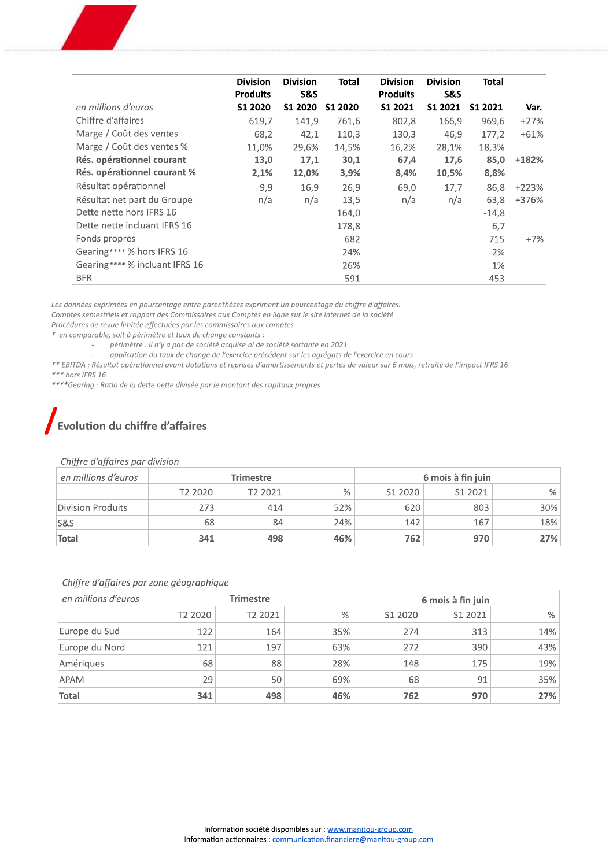|                                | <b>Division</b><br><b>Produits</b> | <b>Division</b><br><b>S&amp;S</b> | Total   | <b>Division</b><br><b>Produits</b> | <b>Division</b><br><b>S&amp;S</b> | <b>Total</b> |         |
|--------------------------------|------------------------------------|-----------------------------------|---------|------------------------------------|-----------------------------------|--------------|---------|
| en millions d'euros            | S1 2020                            | <b>S1 2020</b>                    | S1 2020 | S1 2021                            | S1 2021                           | S1 2021      | Var.    |
| Chiffre d'affaires             | 619,7                              | 141,9                             | 761,6   | 802,8                              | 166,9                             | 969,6        | $+27%$  |
| Marge / Coût des ventes        | 68,2                               | 42,1                              | 110,3   | 130,3                              | 46,9                              | 177,2        | $+61%$  |
| Marge / Coût des ventes %      | 11,0%                              | 29,6%                             | 14,5%   | 16,2%                              | 28,1%                             | 18,3%        |         |
| Rés. opérationnel courant      | 13,0                               | 17,1                              | 30,1    | 67,4                               | 17,6                              | 85,0         | $+182%$ |
| Rés. opérationnel courant %    | 2,1%                               | 12,0%                             | 3,9%    | 8,4%                               | 10,5%                             | 8,8%         |         |
| Résultat opérationnel          | 9,9                                | 16,9                              | 26,9    | 69,0                               | 17,7                              | 86,8         | $+223%$ |
| Résultat net part du Groupe    | n/a                                | n/a                               | 13,5    | n/a                                | n/a                               | 63,8         | +376%   |
| Dette nette hors IFRS 16       |                                    |                                   | 164,0   |                                    |                                   | $-14,8$      |         |
| Dette nette incluant IFRS 16   |                                    |                                   | 178,8   |                                    |                                   | 6,7          |         |
| Fonds propres                  |                                    |                                   | 682     |                                    |                                   | 715          | $+7%$   |
| Gearing**** % hors IFRS 16     |                                    |                                   | 24%     |                                    |                                   | $-2%$        |         |
| Gearing**** % incluant IFRS 16 |                                    |                                   | 26%     |                                    |                                   | 1%           |         |
| <b>BFR</b>                     |                                    |                                   | 591     |                                    |                                   | 453          |         |

Les données exprimées en pourcentage entre parenthèses expriment un pourcentage du chiffre d'affaires.

Comptes semestriels et rapport des Commissaires aux Comptes en ligne sur le site internet de la société

Procédures de revue limitée effectuées par les commissaires aux comptes \* en comparable, soit à périmètre et taux de change constants :

- périmètre : il n'y a pas de société acquise ni de société sortante en 2021

 $\mathcal{L}^{\mathcal{A}}$ application du taux de change de l'exercice précédent sur les agrégats de l'exercice en cours

\*\* EBITDA : Résultat opérationnel avant dotations et reprises d'amortissements et pertes de valeur sur 6 mois, retraité de l'impact IFRS 16  $***$  hors IFRS 16

\*\*\*\*Gearing : Ratio de la dette nette divisée par le montant des capitaux propres

### Evolution du chiffre d'affaires

#### Chiffre d'affaires par division

| en millions d'euros | <b>Trimestre</b> |         |     | 6 mois à fin juin |         |     |  |
|---------------------|------------------|---------|-----|-------------------|---------|-----|--|
|                     | T2 2020          | T2 2021 | %   | S1 2020           | S1 2021 | %   |  |
| Division Produits   | 273              | 414     | 52% | 620               | 803     | 30% |  |
| <b>S&amp;S</b>      | 68               | 84      | 24% | 142               | 167     | 18% |  |
| Total               | 341              | 498     | 46% | 762               | 970     | 27% |  |

#### Chiffre d'affaires par zone géographique

| en millions d'euros | <b>Trimestre</b> |         |      | 6 mois à fin juin |         |     |  |
|---------------------|------------------|---------|------|-------------------|---------|-----|--|
|                     | T2 2020          | T2 2021 | $\%$ | S1 2020           | S1 2021 | %   |  |
| Europe du Sud       | 122              | 164     | 35%  | 274               | 313     | 14% |  |
| Europe du Nord      | 121              | 197     | 63%  | 272               | 390     | 43% |  |
| Amériques           | 68               | 88      | 28%  | 148               | 175     | 19% |  |
| <b>APAM</b>         | 29               | 50      | 69%  | 68                | 91      | 35% |  |
| Total               | 341              | 498     | 46%  | 762               | 970     | 27% |  |